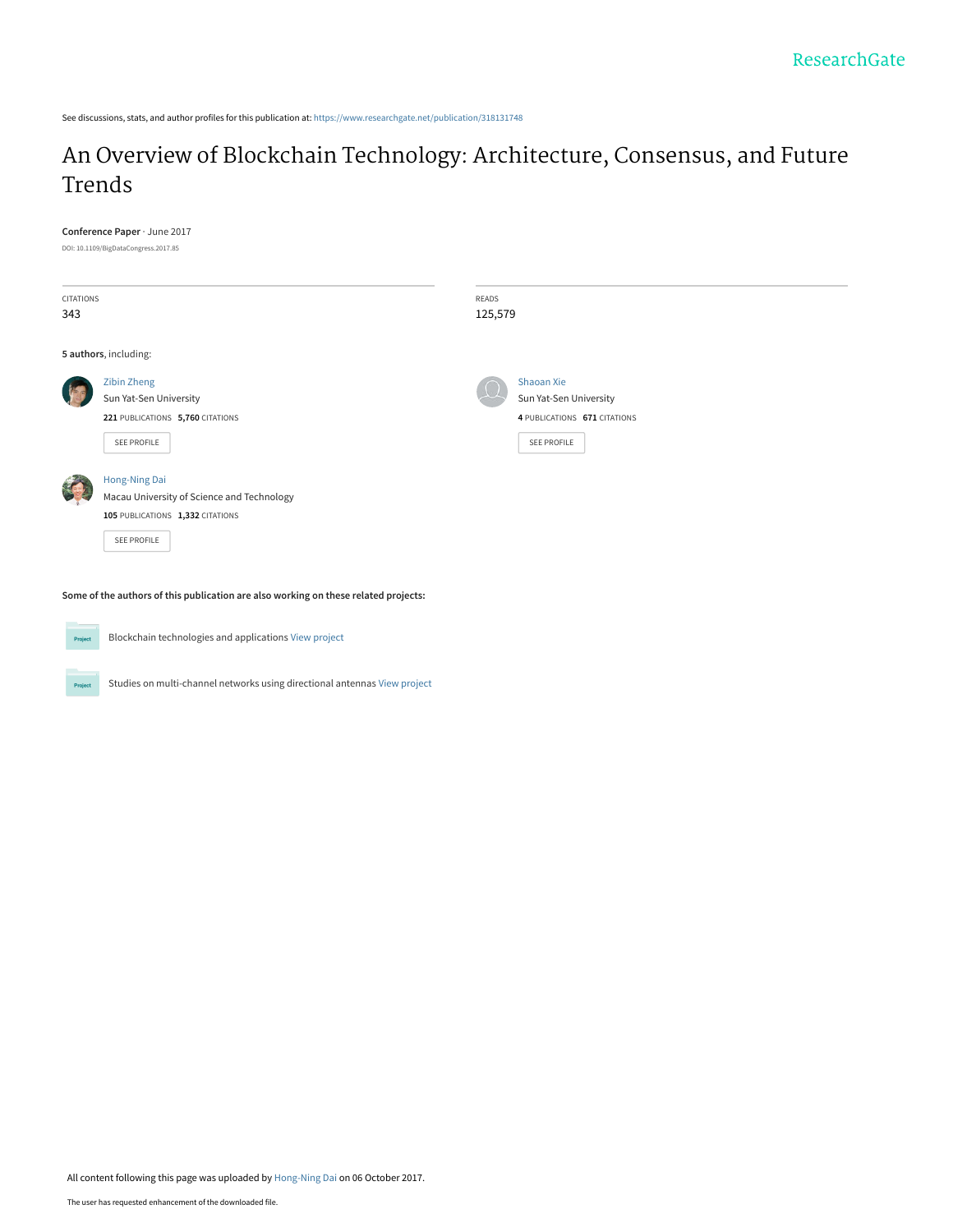See discussions, stats, and author profiles for this publication at: [https://www.researchgate.net/publication/318131748](https://www.researchgate.net/publication/318131748_An_Overview_of_Blockchain_Technology_Architecture_Consensus_and_Future_Trends?enrichId=rgreq-539895dae6ea9b83a7853a2f1a067a4a-XXX&enrichSource=Y292ZXJQYWdlOzMxODEzMTc0ODtBUzo1NDYzNDY1MjQ3MjUyNDhAMTUwNzI3MDU3MDEyNQ%3D%3D&el=1_x_2&_esc=publicationCoverPdf)

# [An Overview of Blockchain Technology: Architecture, Consensus, and Future](https://www.researchgate.net/publication/318131748_An_Overview_of_Blockchain_Technology_Architecture_Consensus_and_Future_Trends?enrichId=rgreq-539895dae6ea9b83a7853a2f1a067a4a-XXX&enrichSource=Y292ZXJQYWdlOzMxODEzMTc0ODtBUzo1NDYzNDY1MjQ3MjUyNDhAMTUwNzI3MDU3MDEyNQ%3D%3D&el=1_x_3&_esc=publicationCoverPdf) Trends

| <b>CITATIONS</b> |                                            | READS                        |  |
|------------------|--------------------------------------------|------------------------------|--|
| 343              |                                            | 125,579                      |  |
|                  | 5 authors, including:                      |                              |  |
|                  | Zibin Zheng                                | Shaoan Xie                   |  |
|                  | Sun Yat-Sen University                     | Sun Yat-Sen University       |  |
|                  | 221 PUBLICATIONS 5,760 CITATIONS           | 4 PUBLICATIONS 671 CITATIONS |  |
|                  | SEE PROFILE                                | <b>SEE PROFILE</b>           |  |
|                  | Hong-Ning Dai                              |                              |  |
|                  | Macau University of Science and Technology |                              |  |
|                  | 105 PUBLICATIONS 1,332 CITATIONS           |                              |  |
|                  | SEE PROFILE                                |                              |  |



Project

**Conference Paper** · June 2017

Blockchain technologies and applications [View project](https://www.researchgate.net/project/Blockchain-technologies-and-applications?enrichId=rgreq-539895dae6ea9b83a7853a2f1a067a4a-XXX&enrichSource=Y292ZXJQYWdlOzMxODEzMTc0ODtBUzo1NDYzNDY1MjQ3MjUyNDhAMTUwNzI3MDU3MDEyNQ%3D%3D&el=1_x_9&_esc=publicationCoverPdf)

Studies on multi-channel networks using directional antennas [View project](https://www.researchgate.net/project/Studies-on-multi-channel-networks-using-directional-antennas?enrichId=rgreq-539895dae6ea9b83a7853a2f1a067a4a-XXX&enrichSource=Y292ZXJQYWdlOzMxODEzMTc0ODtBUzo1NDYzNDY1MjQ3MjUyNDhAMTUwNzI3MDU3MDEyNQ%3D%3D&el=1_x_9&_esc=publicationCoverPdf)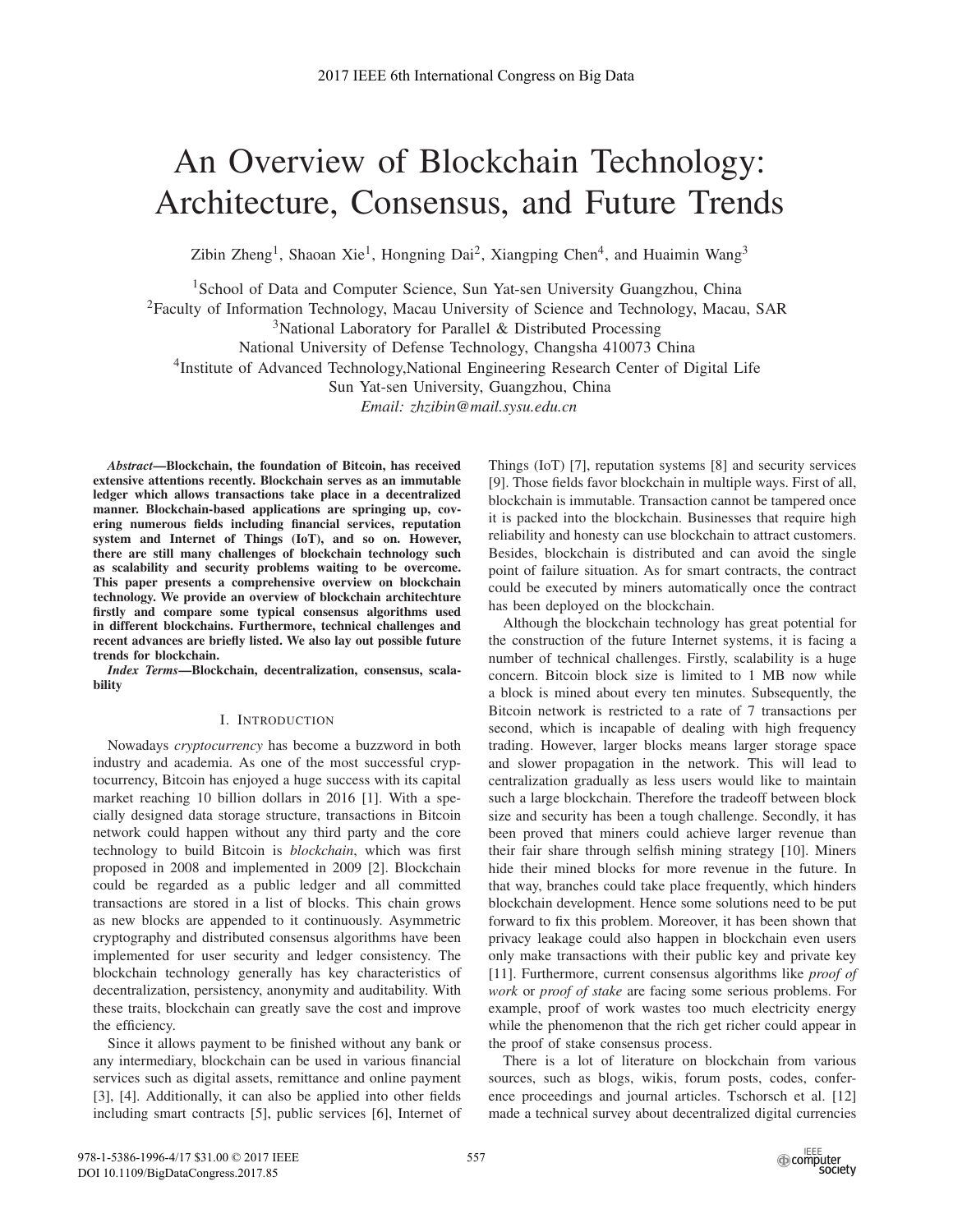# An Overview of Blockchain Technology: Architecture, Consensus, and Future Trends

Zibin Zheng<sup>1</sup>, Shaoan Xie<sup>1</sup>, Hongning Dai<sup>2</sup>, Xiangping Chen<sup>4</sup>, and Huaimin Wang<sup>3</sup>

<sup>1</sup>School of Data and Computer Science, Sun Yat-sen University Guangzhou, China

2Faculty of Information Technology, Macau University of Science and Technology, Macau, SAR

 $3$ National Laboratory for Parallel & Distributed Processing

National University of Defense Technology, Changsha 410073 China

<sup>4</sup>Institute of Advanced Technology, National Engineering Research Center of Digital Life

Sun Yat-sen University, Guangzhou, China

*Email: zhzibin@mail.sysu.edu.cn*

*Abstract*—Blockchain, the foundation of Bitcoin, has received extensive attentions recently. Blockchain serves as an immutable ledger which allows transactions take place in a decentralized manner. Blockchain-based applications are springing up, covering numerous fields including financial services, reputation system and Internet of Things (IoT), and so on. However, there are still many challenges of blockchain technology such as scalability and security problems waiting to be overcome. This paper presents a comprehensive overview on blockchain technology. We provide an overview of blockchain architechture firstly and compare some typical consensus algorithms used in different blockchains. Furthermore, technical challenges and recent advances are briefly listed. We also lay out possible future trends for blockchain.

*Index Terms*—Blockchain, decentralization, consensus, scalability

# I. INTRODUCTION

Nowadays *cryptocurrency* has become a buzzword in both industry and academia. As one of the most successful cryptocurrency, Bitcoin has enjoyed a huge success with its capital market reaching 10 billion dollars in 2016 [1]. With a specially designed data storage structure, transactions in Bitcoin network could happen without any third party and the core technology to build Bitcoin is *blockchain*, which was first proposed in 2008 and implemented in 2009 [2]. Blockchain could be regarded as a public ledger and all committed transactions are stored in a list of blocks. This chain grows as new blocks are appended to it continuously. Asymmetric cryptography and distributed consensus algorithms have been implemented for user security and ledger consistency. The blockchain technology generally has key characteristics of decentralization, persistency, anonymity and auditability. With these traits, blockchain can greatly save the cost and improve the efficiency.

Since it allows payment to be finished without any bank or any intermediary, blockchain can be used in various financial services such as digital assets, remittance and online payment [3], [4]. Additionally, it can also be applied into other fields including smart contracts [5], public services [6], Internet of Things (IoT) [7], reputation systems [8] and security services [9]. Those fields favor blockchain in multiple ways. First of all, blockchain is immutable. Transaction cannot be tampered once it is packed into the blockchain. Businesses that require high reliability and honesty can use blockchain to attract customers. Besides, blockchain is distributed and can avoid the single point of failure situation. As for smart contracts, the contract could be executed by miners automatically once the contract has been deployed on the blockchain.

Although the blockchain technology has great potential for the construction of the future Internet systems, it is facing a number of technical challenges. Firstly, scalability is a huge concern. Bitcoin block size is limited to 1 MB now while a block is mined about every ten minutes. Subsequently, the Bitcoin network is restricted to a rate of 7 transactions per second, which is incapable of dealing with high frequency trading. However, larger blocks means larger storage space and slower propagation in the network. This will lead to centralization gradually as less users would like to maintain such a large blockchain. Therefore the tradeoff between block size and security has been a tough challenge. Secondly, it has been proved that miners could achieve larger revenue than their fair share through selfish mining strategy [10]. Miners hide their mined blocks for more revenue in the future. In that way, branches could take place frequently, which hinders blockchain development. Hence some solutions need to be put forward to fix this problem. Moreover, it has been shown that privacy leakage could also happen in blockchain even users only make transactions with their public key and private key [11]. Furthermore, current consensus algorithms like *proof of work* or *proof of stake* are facing some serious problems. For example, proof of work wastes too much electricity energy while the phenomenon that the rich get richer could appear in the proof of stake consensus process.

There is a lot of literature on blockchain from various sources, such as blogs, wikis, forum posts, codes, conference proceedings and journal articles. Tschorsch et al. [12] made a technical survey about decentralized digital currencies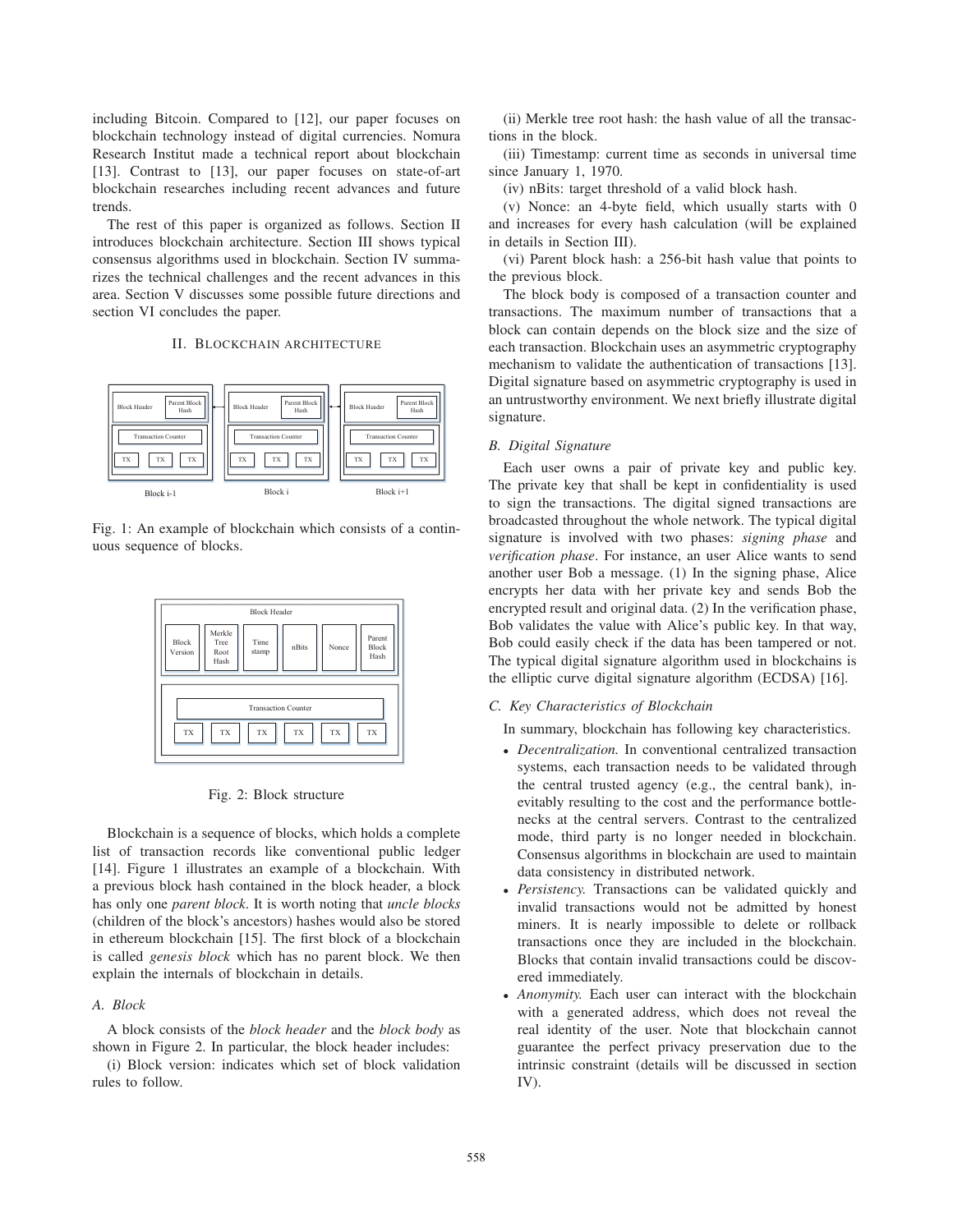including Bitcoin. Compared to [12], our paper focuses on blockchain technology instead of digital currencies. Nomura Research Institut made a technical report about blockchain [13]. Contrast to [13], our paper focuses on state-of-art blockchain researches including recent advances and future trends.

The rest of this paper is organized as follows. Section II introduces blockchain architecture. Section III shows typical consensus algorithms used in blockchain. Section IV summarizes the technical challenges and the recent advances in this area. Section V discusses some possible future directions and section VI concludes the paper.

# II. BLOCKCHAIN ARCHITECTURE



Fig. 1: An example of blockchain which consists of a continuous sequence of blocks.





Blockchain is a sequence of blocks, which holds a complete list of transaction records like conventional public ledger [14]. Figure 1 illustrates an example of a blockchain. With a previous block hash contained in the block header, a block has only one *parent block*. It is worth noting that *uncle blocks* (children of the block's ancestors) hashes would also be stored in ethereum blockchain [15]. The first block of a blockchain is called *genesis block* which has no parent block. We then explain the internals of blockchain in details.

# *A. Block*

A block consists of the *block header* and the *block body* as shown in Figure 2. In particular, the block header includes:

(i) Block version: indicates which set of block validation rules to follow.

(ii) Merkle tree root hash: the hash value of all the transactions in the block.

(iii) Timestamp: current time as seconds in universal time since January 1, 1970.

(iv) nBits: target threshold of a valid block hash.

(v) Nonce: an 4-byte field, which usually starts with 0 and increases for every hash calculation (will be explained in details in Section III).

(vi) Parent block hash: a 256-bit hash value that points to the previous block.

The block body is composed of a transaction counter and transactions. The maximum number of transactions that a block can contain depends on the block size and the size of each transaction. Blockchain uses an asymmetric cryptography mechanism to validate the authentication of transactions [13]. Digital signature based on asymmetric cryptography is used in an untrustworthy environment. We next briefly illustrate digital signature.

# *B. Digital Signature*

Each user owns a pair of private key and public key. The private key that shall be kept in confidentiality is used to sign the transactions. The digital signed transactions are broadcasted throughout the whole network. The typical digital signature is involved with two phases: *signing phase* and *verification phase*. For instance, an user Alice wants to send another user Bob a message. (1) In the signing phase, Alice encrypts her data with her private key and sends Bob the encrypted result and original data. (2) In the verification phase, Bob validates the value with Alice's public key. In that way, Bob could easily check if the data has been tampered or not. The typical digital signature algorithm used in blockchains is the elliptic curve digital signature algorithm (ECDSA) [16].

### *C. Key Characteristics of Blockchain*

In summary, blockchain has following key characteristics.

- *Decentralization.* In conventional centralized transaction systems, each transaction needs to be validated through the central trusted agency (e.g., the central bank), inevitably resulting to the cost and the performance bottlenecks at the central servers. Contrast to the centralized mode, third party is no longer needed in blockchain. Consensus algorithms in blockchain are used to maintain data consistency in distributed network.
- *Persistency.* Transactions can be validated quickly and invalid transactions would not be admitted by honest miners. It is nearly impossible to delete or rollback transactions once they are included in the blockchain. Blocks that contain invalid transactions could be discovered immediately.
- *Anonymity.* Each user can interact with the blockchain with a generated address, which does not reveal the real identity of the user. Note that blockchain cannot guarantee the perfect privacy preservation due to the intrinsic constraint (details will be discussed in section IV).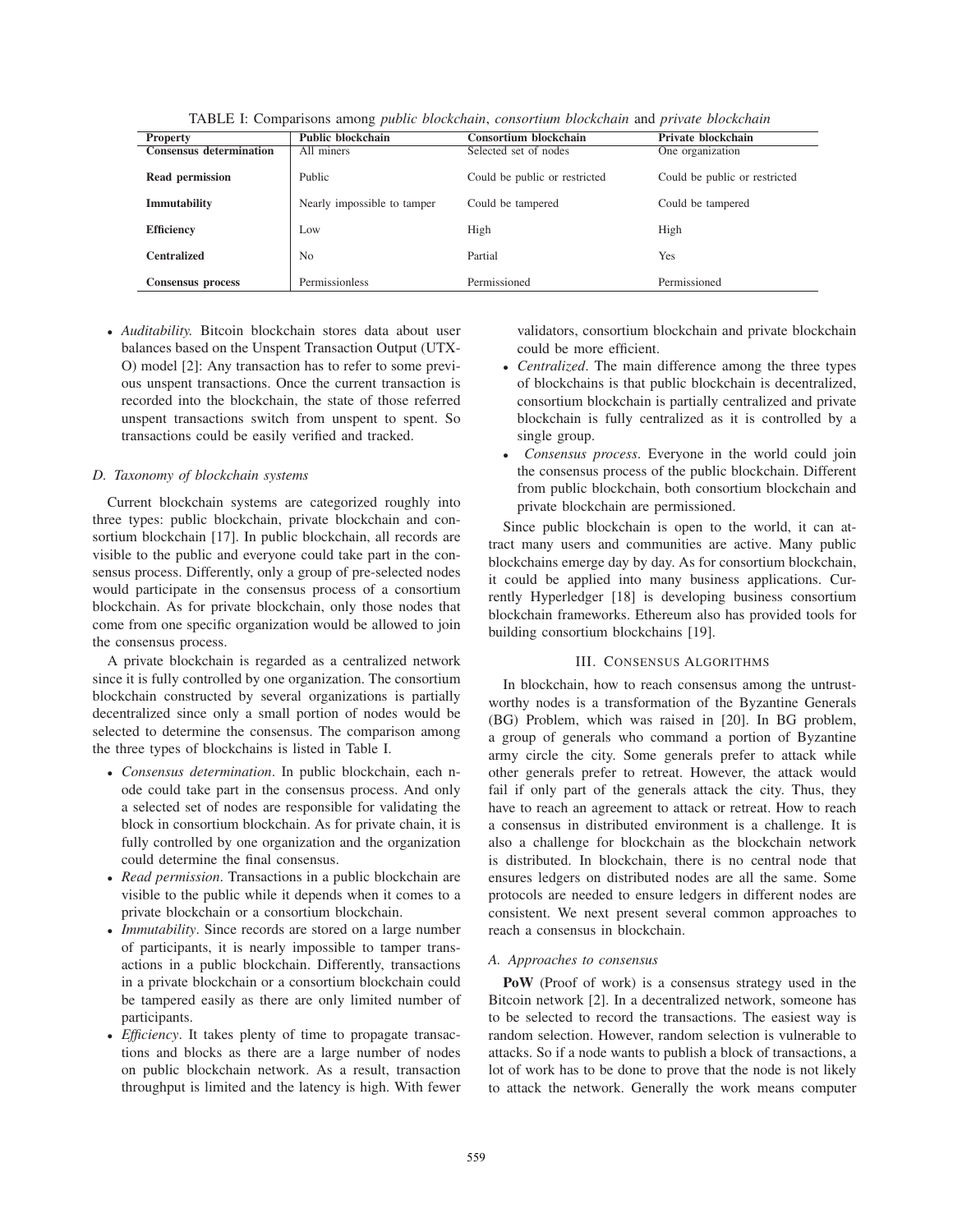| <b>Property</b>                | <b>Public blockchain</b>    | <b>Consortium blockchain</b>  | Private blockchain            |
|--------------------------------|-----------------------------|-------------------------------|-------------------------------|
| <b>Consensus determination</b> | All miners                  | Selected set of nodes         | One organization              |
| Read permission                | Public                      | Could be public or restricted | Could be public or restricted |
| Immutability                   | Nearly impossible to tamper | Could be tampered             | Could be tampered             |
| <b>Efficiency</b>              | Low                         | High                          | High                          |
| <b>Centralized</b>             | N <sub>0</sub>              | Partial                       | Yes                           |
| Consensus process              | Permissionless              | Permissioned                  | Permissioned                  |

TABLE I: Comparisons among *public blockchain*, *consortium blockchain* and *private blockchain*

• *Auditability.* Bitcoin blockchain stores data about user balances based on the Unspent Transaction Output (UTX-O) model [2]: Any transaction has to refer to some previous unspent transactions. Once the current transaction is recorded into the blockchain, the state of those referred unspent transactions switch from unspent to spent. So transactions could be easily verified and tracked.

## *D. Taxonomy of blockchain systems*

Current blockchain systems are categorized roughly into three types: public blockchain, private blockchain and consortium blockchain [17]. In public blockchain, all records are visible to the public and everyone could take part in the consensus process. Differently, only a group of pre-selected nodes would participate in the consensus process of a consortium blockchain. As for private blockchain, only those nodes that come from one specific organization would be allowed to join the consensus process.

A private blockchain is regarded as a centralized network since it is fully controlled by one organization. The consortium blockchain constructed by several organizations is partially decentralized since only a small portion of nodes would be selected to determine the consensus. The comparison among the three types of blockchains is listed in Table I.

- *Consensus determination*. In public blockchain, each node could take part in the consensus process. And only a selected set of nodes are responsible for validating the block in consortium blockchain. As for private chain, it is fully controlled by one organization and the organization could determine the final consensus.
- *Read permission*. Transactions in a public blockchain are visible to the public while it depends when it comes to a private blockchain or a consortium blockchain.
- *Immutability*. Since records are stored on a large number of participants, it is nearly impossible to tamper transactions in a public blockchain. Differently, transactions in a private blockchain or a consortium blockchain could be tampered easily as there are only limited number of participants.
- *Efficiency*. It takes plenty of time to propagate transactions and blocks as there are a large number of nodes on public blockchain network. As a result, transaction throughput is limited and the latency is high. With fewer

validators, consortium blockchain and private blockchain could be more efficient.

- *Centralized*. The main difference among the three types of blockchains is that public blockchain is decentralized, consortium blockchain is partially centralized and private blockchain is fully centralized as it is controlled by a single group.
- *Consensus process*. Everyone in the world could join the consensus process of the public blockchain. Different from public blockchain, both consortium blockchain and private blockchain are permissioned.

Since public blockchain is open to the world, it can attract many users and communities are active. Many public blockchains emerge day by day. As for consortium blockchain, it could be applied into many business applications. Currently Hyperledger [18] is developing business consortium blockchain frameworks. Ethereum also has provided tools for building consortium blockchains [19].

# III. CONSENSUS ALGORITHMS

In blockchain, how to reach consensus among the untrustworthy nodes is a transformation of the Byzantine Generals (BG) Problem, which was raised in [20]. In BG problem, a group of generals who command a portion of Byzantine army circle the city. Some generals prefer to attack while other generals prefer to retreat. However, the attack would fail if only part of the generals attack the city. Thus, they have to reach an agreement to attack or retreat. How to reach a consensus in distributed environment is a challenge. It is also a challenge for blockchain as the blockchain network is distributed. In blockchain, there is no central node that ensures ledgers on distributed nodes are all the same. Some protocols are needed to ensure ledgers in different nodes are consistent. We next present several common approaches to reach a consensus in blockchain.

### *A. Approaches to consensus*

PoW (Proof of work) is a consensus strategy used in the Bitcoin network [2]. In a decentralized network, someone has to be selected to record the transactions. The easiest way is random selection. However, random selection is vulnerable to attacks. So if a node wants to publish a block of transactions, a lot of work has to be done to prove that the node is not likely to attack the network. Generally the work means computer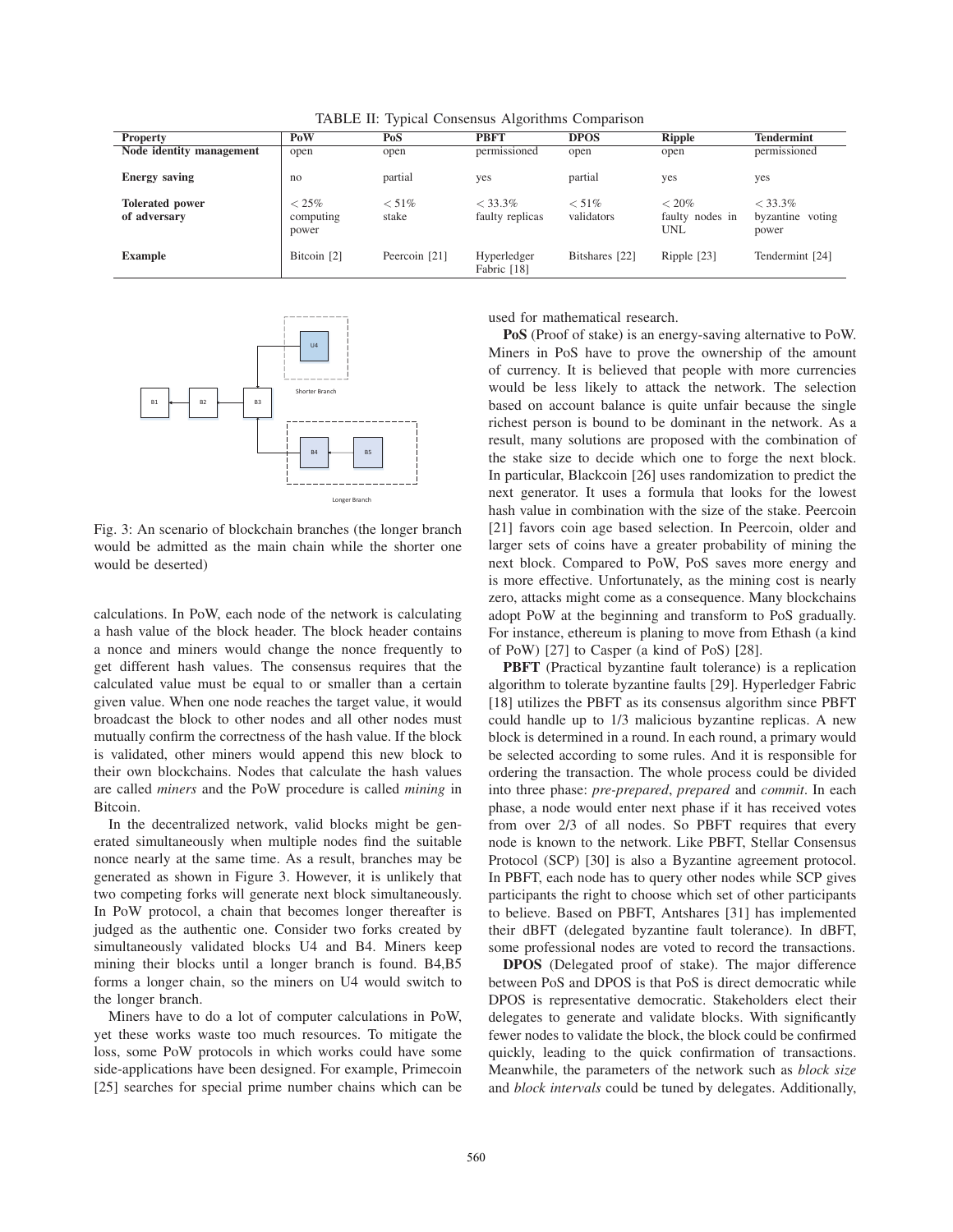|                                        | PoW                            |                   | <b>PBFT</b>                   |                        |                                           |                                         |
|----------------------------------------|--------------------------------|-------------------|-------------------------------|------------------------|-------------------------------------------|-----------------------------------------|
| <b>Property</b>                        |                                | PoS               |                               | <b>DPOS</b>            | <b>Ripple</b>                             | Tendermint                              |
| Node identity management               | open                           | open              | permissioned                  | open                   | open                                      | permissioned                            |
| <b>Energy saving</b>                   | no                             | partial           | yes                           | partial                | yes                                       | yes                                     |
| <b>Tolerated power</b><br>of adversary | $< 25\%$<br>computing<br>power | $< 51\%$<br>stake | $< 33.3\%$<br>faulty replicas | $< 51\%$<br>validators | $< 20\%$<br>faulty nodes in<br><b>UNL</b> | $< 33.3\%$<br>byzantine voting<br>power |
| <b>Example</b>                         | Bitcoin [2]                    | Peercoin [21]     | Hyperledger<br>Fabric [18]    | Bitshares [22]         | Ripple [23]                               | Tendermint [24]                         |

TABLE II: Typical Consensus Algorithms Comparison



Fig. 3: An scenario of blockchain branches (the longer branch would be admitted as the main chain while the shorter one would be deserted)

calculations. In PoW, each node of the network is calculating a hash value of the block header. The block header contains a nonce and miners would change the nonce frequently to get different hash values. The consensus requires that the calculated value must be equal to or smaller than a certain given value. When one node reaches the target value, it would broadcast the block to other nodes and all other nodes must mutually confirm the correctness of the hash value. If the block is validated, other miners would append this new block to their own blockchains. Nodes that calculate the hash values are called *miners* and the PoW procedure is called *mining* in Bitcoin.

In the decentralized network, valid blocks might be generated simultaneously when multiple nodes find the suitable nonce nearly at the same time. As a result, branches may be generated as shown in Figure 3. However, it is unlikely that two competing forks will generate next block simultaneously. In PoW protocol, a chain that becomes longer thereafter is judged as the authentic one. Consider two forks created by simultaneously validated blocks U4 and B4. Miners keep mining their blocks until a longer branch is found. B4,B5 forms a longer chain, so the miners on U4 would switch to the longer branch.

Miners have to do a lot of computer calculations in PoW, yet these works waste too much resources. To mitigate the loss, some PoW protocols in which works could have some side-applications have been designed. For example, Primecoin [25] searches for special prime number chains which can be used for mathematical research.

PoS (Proof of stake) is an energy-saving alternative to PoW. Miners in PoS have to prove the ownership of the amount of currency. It is believed that people with more currencies would be less likely to attack the network. The selection based on account balance is quite unfair because the single richest person is bound to be dominant in the network. As a result, many solutions are proposed with the combination of the stake size to decide which one to forge the next block. In particular, Blackcoin [26] uses randomization to predict the next generator. It uses a formula that looks for the lowest hash value in combination with the size of the stake. Peercoin [21] favors coin age based selection. In Peercoin, older and larger sets of coins have a greater probability of mining the next block. Compared to PoW, PoS saves more energy and is more effective. Unfortunately, as the mining cost is nearly zero, attacks might come as a consequence. Many blockchains adopt PoW at the beginning and transform to PoS gradually. For instance, ethereum is planing to move from Ethash (a kind of PoW) [27] to Casper (a kind of PoS) [28].

PBFT (Practical byzantine fault tolerance) is a replication algorithm to tolerate byzantine faults [29]. Hyperledger Fabric [18] utilizes the PBFT as its consensus algorithm since PBFT could handle up to 1/3 malicious byzantine replicas. A new block is determined in a round. In each round, a primary would be selected according to some rules. And it is responsible for ordering the transaction. The whole process could be divided into three phase: *pre-prepared*, *prepared* and *commit*. In each phase, a node would enter next phase if it has received votes from over 2/3 of all nodes. So PBFT requires that every node is known to the network. Like PBFT, Stellar Consensus Protocol (SCP) [30] is also a Byzantine agreement protocol. In PBFT, each node has to query other nodes while SCP gives participants the right to choose which set of other participants to believe. Based on PBFT, Antshares [31] has implemented their dBFT (delegated byzantine fault tolerance). In dBFT, some professional nodes are voted to record the transactions.

DPOS (Delegated proof of stake). The major difference between PoS and DPOS is that PoS is direct democratic while DPOS is representative democratic. Stakeholders elect their delegates to generate and validate blocks. With significantly fewer nodes to validate the block, the block could be confirmed quickly, leading to the quick confirmation of transactions. Meanwhile, the parameters of the network such as *block size* and *block intervals* could be tuned by delegates. Additionally,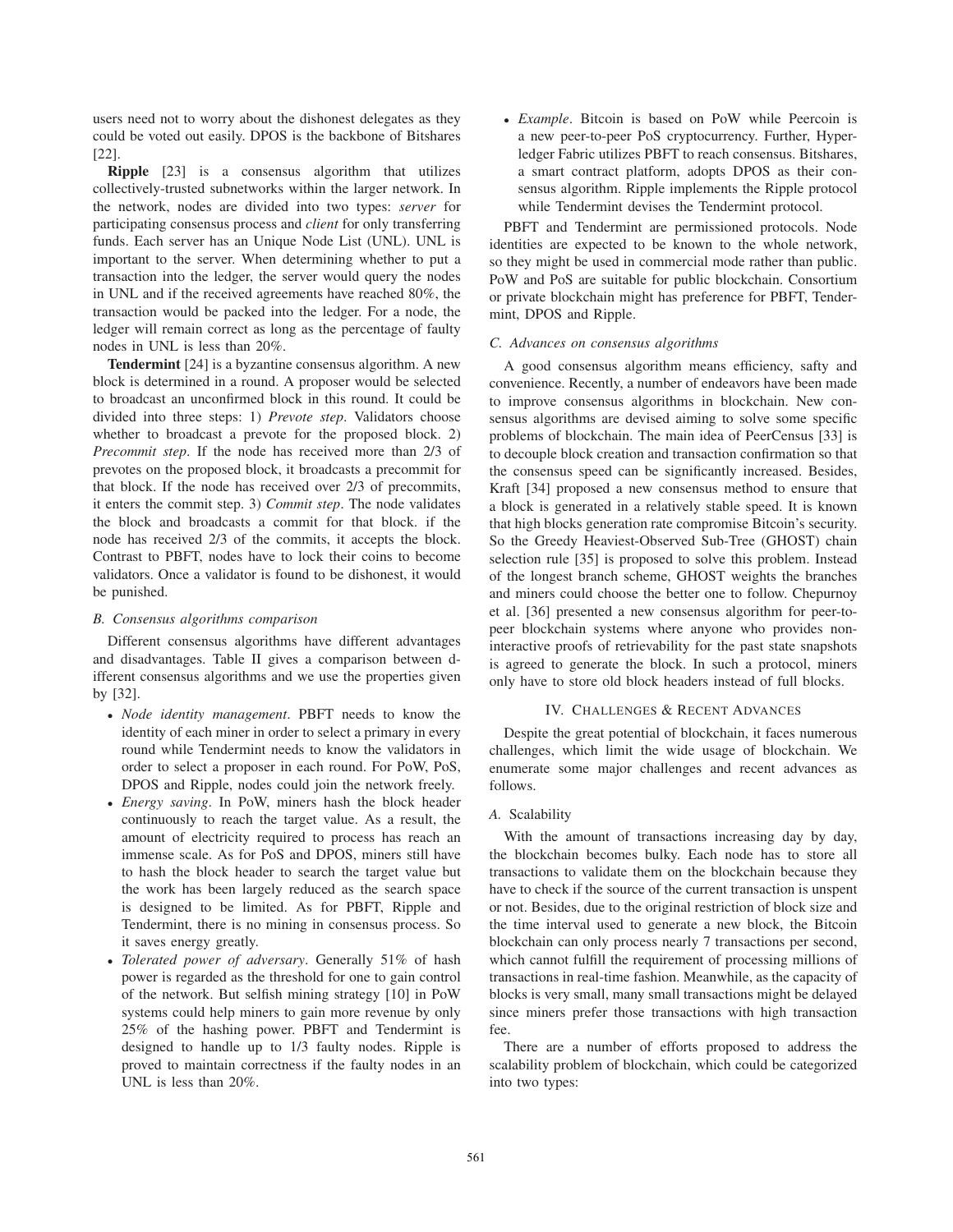users need not to worry about the dishonest delegates as they could be voted out easily. DPOS is the backbone of Bitshares [22].

Ripple [23] is a consensus algorithm that utilizes collectively-trusted subnetworks within the larger network. In the network, nodes are divided into two types: *server* for participating consensus process and *client* for only transferring funds. Each server has an Unique Node List (UNL). UNL is important to the server. When determining whether to put a transaction into the ledger, the server would query the nodes in UNL and if the received agreements have reached 80%, the transaction would be packed into the ledger. For a node, the ledger will remain correct as long as the percentage of faulty nodes in UNL is less than 20%.

Tendermint [24] is a byzantine consensus algorithm. A new block is determined in a round. A proposer would be selected to broadcast an unconfirmed block in this round. It could be divided into three steps: 1) *Prevote step*. Validators choose whether to broadcast a prevote for the proposed block. 2) *Precommit step*. If the node has received more than 2/3 of prevotes on the proposed block, it broadcasts a precommit for that block. If the node has received over 2/3 of precommits, it enters the commit step. 3) *Commit step*. The node validates the block and broadcasts a commit for that block. if the node has received 2/3 of the commits, it accepts the block. Contrast to PBFT, nodes have to lock their coins to become validators. Once a validator is found to be dishonest, it would be punished.

#### *B. Consensus algorithms comparison*

Different consensus algorithms have different advantages and disadvantages. Table II gives a comparison between different consensus algorithms and we use the properties given by [32].

- *Node identity management*. PBFT needs to know the identity of each miner in order to select a primary in every round while Tendermint needs to know the validators in order to select a proposer in each round. For PoW, PoS, DPOS and Ripple, nodes could join the network freely.
- *Energy saving*. In PoW, miners hash the block header continuously to reach the target value. As a result, the amount of electricity required to process has reach an immense scale. As for PoS and DPOS, miners still have to hash the block header to search the target value but the work has been largely reduced as the search space is designed to be limited. As for PBFT, Ripple and Tendermint, there is no mining in consensus process. So it saves energy greatly.
- *Tolerated power of adversary*. Generally 51% of hash power is regarded as the threshold for one to gain control of the network. But selfish mining strategy [10] in PoW systems could help miners to gain more revenue by only 25% of the hashing power. PBFT and Tendermint is designed to handle up to 1/3 faulty nodes. Ripple is proved to maintain correctness if the faulty nodes in an UNL is less than 20%.

• *Example*. Bitcoin is based on PoW while Peercoin is a new peer-to-peer PoS cryptocurrency. Further, Hyperledger Fabric utilizes PBFT to reach consensus. Bitshares, a smart contract platform, adopts DPOS as their consensus algorithm. Ripple implements the Ripple protocol while Tendermint devises the Tendermint protocol.

PBFT and Tendermint are permissioned protocols. Node identities are expected to be known to the whole network, so they might be used in commercial mode rather than public. PoW and PoS are suitable for public blockchain. Consortium or private blockchain might has preference for PBFT, Tendermint, DPOS and Ripple.

#### *C. Advances on consensus algorithms*

A good consensus algorithm means efficiency, safty and convenience. Recently, a number of endeavors have been made to improve consensus algorithms in blockchain. New consensus algorithms are devised aiming to solve some specific problems of blockchain. The main idea of PeerCensus [33] is to decouple block creation and transaction confirmation so that the consensus speed can be significantly increased. Besides, Kraft [34] proposed a new consensus method to ensure that a block is generated in a relatively stable speed. It is known that high blocks generation rate compromise Bitcoin's security. So the Greedy Heaviest-Observed Sub-Tree (GHOST) chain selection rule [35] is proposed to solve this problem. Instead of the longest branch scheme, GHOST weights the branches and miners could choose the better one to follow. Chepurnoy et al. [36] presented a new consensus algorithm for peer-topeer blockchain systems where anyone who provides noninteractive proofs of retrievability for the past state snapshots is agreed to generate the block. In such a protocol, miners only have to store old block headers instead of full blocks.

# IV. CHALLENGES & RECENT ADVANCES

Despite the great potential of blockchain, it faces numerous challenges, which limit the wide usage of blockchain. We enumerate some major challenges and recent advances as follows.

# *A.* Scalability

With the amount of transactions increasing day by day, the blockchain becomes bulky. Each node has to store all transactions to validate them on the blockchain because they have to check if the source of the current transaction is unspent or not. Besides, due to the original restriction of block size and the time interval used to generate a new block, the Bitcoin blockchain can only process nearly 7 transactions per second, which cannot fulfill the requirement of processing millions of transactions in real-time fashion. Meanwhile, as the capacity of blocks is very small, many small transactions might be delayed since miners prefer those transactions with high transaction fee.

There are a number of efforts proposed to address the scalability problem of blockchain, which could be categorized into two types: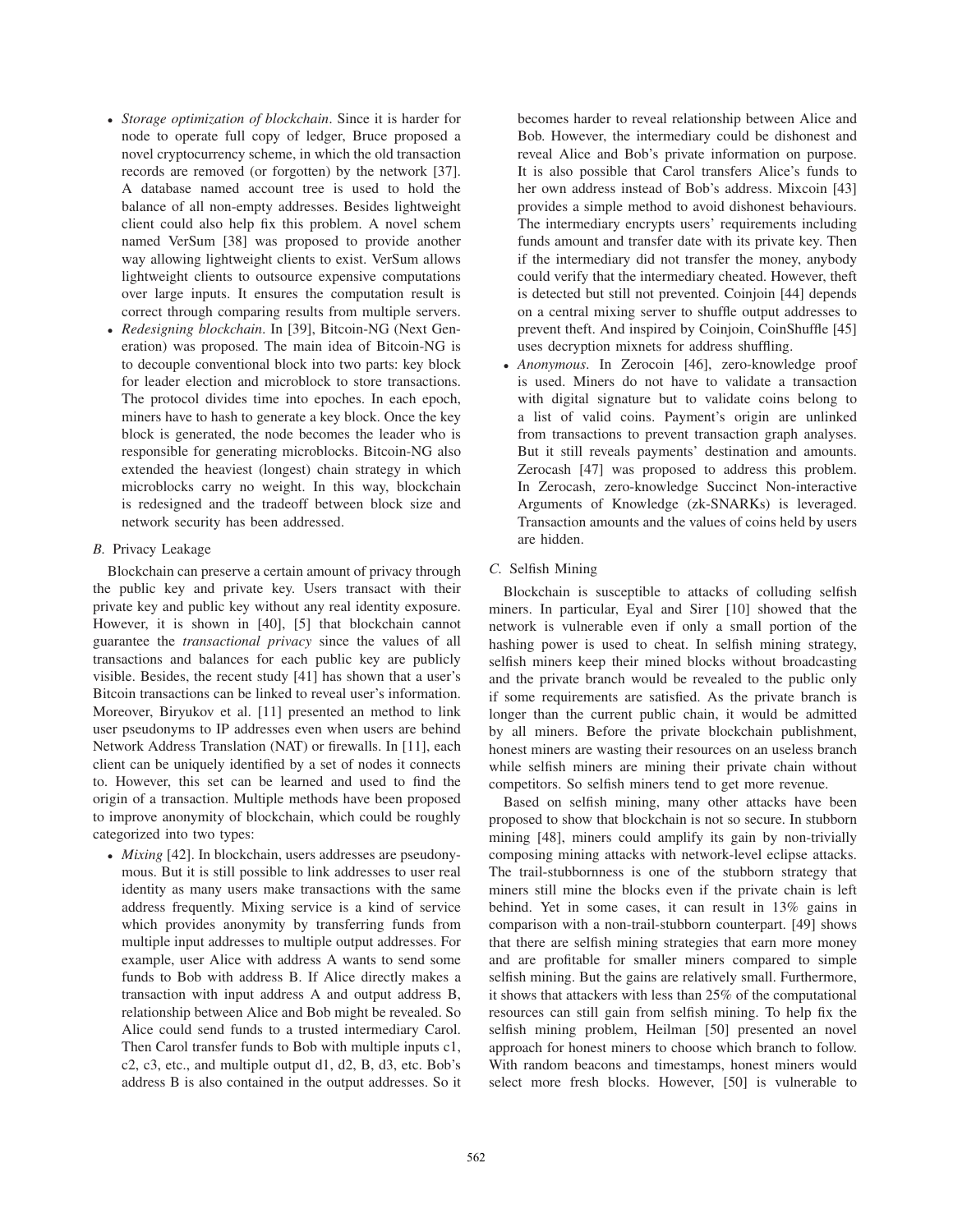- *Storage optimization of blockchain*. Since it is harder for node to operate full copy of ledger, Bruce proposed a novel cryptocurrency scheme, in which the old transaction records are removed (or forgotten) by the network [37]. A database named account tree is used to hold the balance of all non-empty addresses. Besides lightweight client could also help fix this problem. A novel schem named VerSum [38] was proposed to provide another way allowing lightweight clients to exist. VerSum allows lightweight clients to outsource expensive computations over large inputs. It ensures the computation result is correct through comparing results from multiple servers.
- *Redesigning blockchain*. In [39], Bitcoin-NG (Next Generation) was proposed. The main idea of Bitcoin-NG is to decouple conventional block into two parts: key block for leader election and microblock to store transactions. The protocol divides time into epoches. In each epoch, miners have to hash to generate a key block. Once the key block is generated, the node becomes the leader who is responsible for generating microblocks. Bitcoin-NG also extended the heaviest (longest) chain strategy in which microblocks carry no weight. In this way, blockchain is redesigned and the tradeoff between block size and network security has been addressed.
- *B.* Privacy Leakage

Blockchain can preserve a certain amount of privacy through the public key and private key. Users transact with their private key and public key without any real identity exposure. However, it is shown in [40], [5] that blockchain cannot guarantee the *transactional privacy* since the values of all transactions and balances for each public key are publicly visible. Besides, the recent study [41] has shown that a user's Bitcoin transactions can be linked to reveal user's information. Moreover, Biryukov et al. [11] presented an method to link user pseudonyms to IP addresses even when users are behind Network Address Translation (NAT) or firewalls. In [11], each client can be uniquely identified by a set of nodes it connects to. However, this set can be learned and used to find the origin of a transaction. Multiple methods have been proposed to improve anonymity of blockchain, which could be roughly categorized into two types:

• *Mixing* [42]. In blockchain, users addresses are pseudonymous. But it is still possible to link addresses to user real identity as many users make transactions with the same address frequently. Mixing service is a kind of service which provides anonymity by transferring funds from multiple input addresses to multiple output addresses. For example, user Alice with address A wants to send some funds to Bob with address B. If Alice directly makes a transaction with input address A and output address B, relationship between Alice and Bob might be revealed. So Alice could send funds to a trusted intermediary Carol. Then Carol transfer funds to Bob with multiple inputs c1, c2, c3, etc., and multiple output d1, d2, B, d3, etc. Bob's address B is also contained in the output addresses. So it becomes harder to reveal relationship between Alice and Bob. However, the intermediary could be dishonest and reveal Alice and Bob's private information on purpose. It is also possible that Carol transfers Alice's funds to her own address instead of Bob's address. Mixcoin [43] provides a simple method to avoid dishonest behaviours. The intermediary encrypts users' requirements including funds amount and transfer date with its private key. Then if the intermediary did not transfer the money, anybody could verify that the intermediary cheated. However, theft is detected but still not prevented. Coinjoin [44] depends on a central mixing server to shuffle output addresses to prevent theft. And inspired by Coinjoin, CoinShuffle [45] uses decryption mixnets for address shuffling.

- *Anonymous*. In Zerocoin [46], zero-knowledge proof is used. Miners do not have to validate a transaction with digital signature but to validate coins belong to a list of valid coins. Payment's origin are unlinked from transactions to prevent transaction graph analyses. But it still reveals payments' destination and amounts. Zerocash [47] was proposed to address this problem. In Zerocash, zero-knowledge Succinct Non-interactive Arguments of Knowledge (zk-SNARKs) is leveraged. Transaction amounts and the values of coins held by users are hidden.
- *C.* Selfish Mining

Blockchain is susceptible to attacks of colluding selfish miners. In particular, Eyal and Sirer [10] showed that the network is vulnerable even if only a small portion of the hashing power is used to cheat. In selfish mining strategy, selfish miners keep their mined blocks without broadcasting and the private branch would be revealed to the public only if some requirements are satisfied. As the private branch is longer than the current public chain, it would be admitted by all miners. Before the private blockchain publishment, honest miners are wasting their resources on an useless branch while selfish miners are mining their private chain without competitors. So selfish miners tend to get more revenue.

Based on selfish mining, many other attacks have been proposed to show that blockchain is not so secure. In stubborn mining [48], miners could amplify its gain by non-trivially composing mining attacks with network-level eclipse attacks. The trail-stubbornness is one of the stubborn strategy that miners still mine the blocks even if the private chain is left behind. Yet in some cases, it can result in 13% gains in comparison with a non-trail-stubborn counterpart. [49] shows that there are selfish mining strategies that earn more money and are profitable for smaller miners compared to simple selfish mining. But the gains are relatively small. Furthermore, it shows that attackers with less than 25% of the computational resources can still gain from selfish mining. To help fix the selfish mining problem, Heilman [50] presented an novel approach for honest miners to choose which branch to follow. With random beacons and timestamps, honest miners would select more fresh blocks. However, [50] is vulnerable to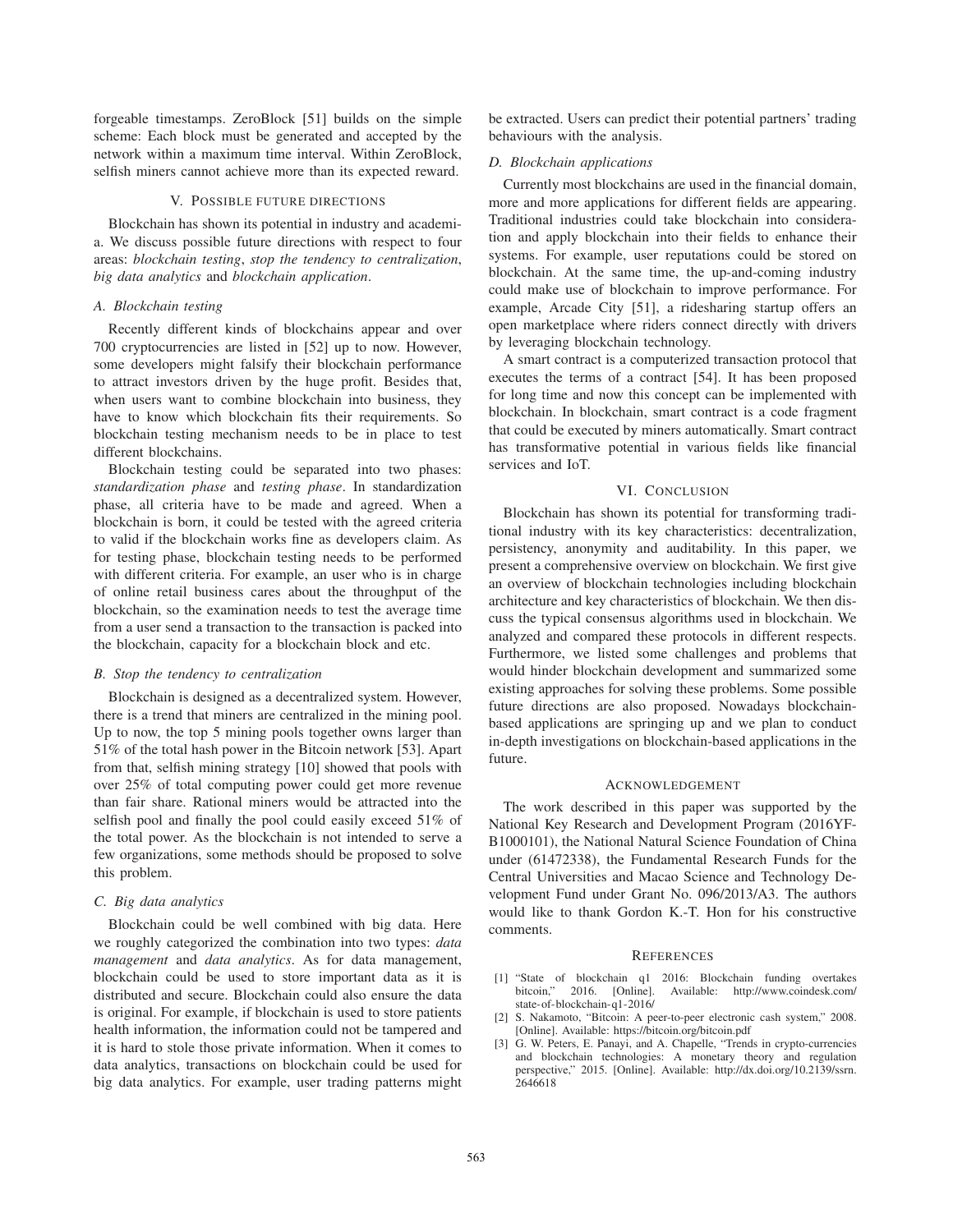forgeable timestamps. ZeroBlock [51] builds on the simple scheme: Each block must be generated and accepted by the network within a maximum time interval. Within ZeroBlock, selfish miners cannot achieve more than its expected reward.

#### V. POSSIBLE FUTURE DIRECTIONS

Blockchain has shown its potential in industry and academia. We discuss possible future directions with respect to four areas: *blockchain testing*, *stop the tendency to centralization*, *big data analytics* and *blockchain application*.

#### *A. Blockchain testing*

Recently different kinds of blockchains appear and over 700 cryptocurrencies are listed in [52] up to now. However, some developers might falsify their blockchain performance to attract investors driven by the huge profit. Besides that, when users want to combine blockchain into business, they have to know which blockchain fits their requirements. So blockchain testing mechanism needs to be in place to test different blockchains.

Blockchain testing could be separated into two phases: *standardization phase* and *testing phase*. In standardization phase, all criteria have to be made and agreed. When a blockchain is born, it could be tested with the agreed criteria to valid if the blockchain works fine as developers claim. As for testing phase, blockchain testing needs to be performed with different criteria. For example, an user who is in charge of online retail business cares about the throughput of the blockchain, so the examination needs to test the average time from a user send a transaction to the transaction is packed into the blockchain, capacity for a blockchain block and etc.

# *B. Stop the tendency to centralization*

Blockchain is designed as a decentralized system. However, there is a trend that miners are centralized in the mining pool. Up to now, the top 5 mining pools together owns larger than 51% of the total hash power in the Bitcoin network [53]. Apart from that, selfish mining strategy [10] showed that pools with over 25% of total computing power could get more revenue than fair share. Rational miners would be attracted into the selfish pool and finally the pool could easily exceed 51% of the total power. As the blockchain is not intended to serve a few organizations, some methods should be proposed to solve this problem.

#### *C. Big data analytics*

Blockchain could be well combined with big data. Here we roughly categorized the combination into two types: *data management* and *data analytics*. As for data management, blockchain could be used to store important data as it is distributed and secure. Blockchain could also ensure the data is original. For example, if blockchain is used to store patients health information, the information could not be tampered and it is hard to stole those private information. When it comes to data analytics, transactions on blockchain could be used for big data analytics. For example, user trading patterns might be extracted. Users can predict their potential partners' trading behaviours with the analysis.

### *D. Blockchain applications*

Currently most blockchains are used in the financial domain, more and more applications for different fields are appearing. Traditional industries could take blockchain into consideration and apply blockchain into their fields to enhance their systems. For example, user reputations could be stored on blockchain. At the same time, the up-and-coming industry could make use of blockchain to improve performance. For example, Arcade City [51], a ridesharing startup offers an open marketplace where riders connect directly with drivers by leveraging blockchain technology.

A smart contract is a computerized transaction protocol that executes the terms of a contract [54]. It has been proposed for long time and now this concept can be implemented with blockchain. In blockchain, smart contract is a code fragment that could be executed by miners automatically. Smart contract has transformative potential in various fields like financial services and IoT.

# VI. CONCLUSION

Blockchain has shown its potential for transforming traditional industry with its key characteristics: decentralization, persistency, anonymity and auditability. In this paper, we present a comprehensive overview on blockchain. We first give an overview of blockchain technologies including blockchain architecture and key characteristics of blockchain. We then discuss the typical consensus algorithms used in blockchain. We analyzed and compared these protocols in different respects. Furthermore, we listed some challenges and problems that would hinder blockchain development and summarized some existing approaches for solving these problems. Some possible future directions are also proposed. Nowadays blockchainbased applications are springing up and we plan to conduct in-depth investigations on blockchain-based applications in the future.

### ACKNOWLEDGEMENT

The work described in this paper was supported by the National Key Research and Development Program (2016YF-B1000101), the National Natural Science Foundation of China under (61472338), the Fundamental Research Funds for the Central Universities and Macao Science and Technology Development Fund under Grant No. 096/2013/A3. The authors would like to thank Gordon K.-T. Hon for his constructive comments.

#### **REFERENCES**

- [1] "State of blockchain q1 2016: Blockchain funding overtakes Available: http://www.coindesk.com/ state-of-blockchain-q1-2016/
- [2] S. Nakamoto, "Bitcoin: A peer-to-peer electronic cash system," 2008. [Online]. Available: https://bitcoin.org/bitcoin.pdf
- [3] G. W. Peters, E. Panayi, and A. Chapelle, "Trends in crypto-currencies and blockchain technologies: A monetary theory and regulation perspective," 2015. [Online]. Available: http://dx.doi.org/10.2139/ssrn. 2646618